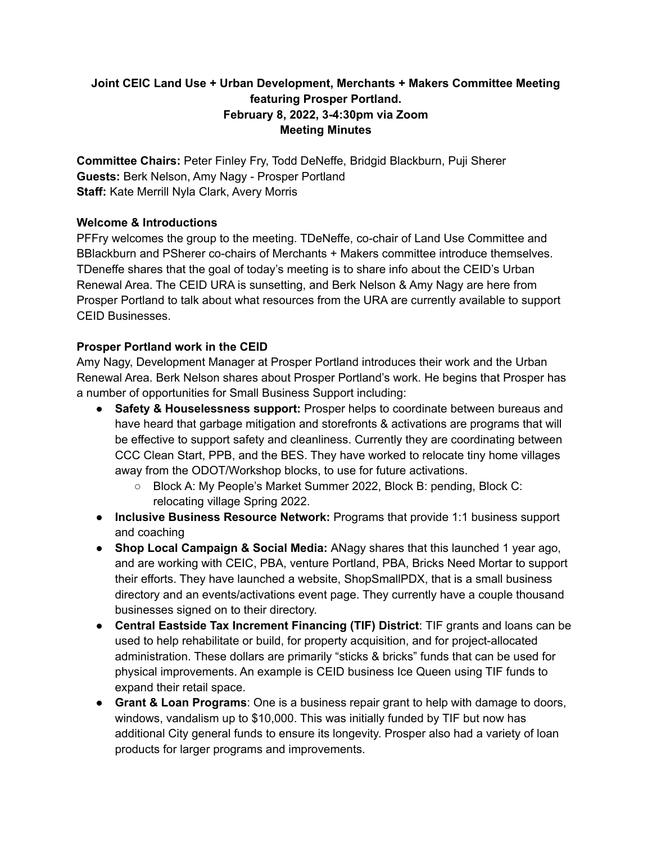## **Joint CEIC Land Use + Urban Development, Merchants + Makers Committee Meeting featuring Prosper Portland. February 8, 2022, 3-4:30pm via Zoom Meeting Minutes**

**Committee Chairs:** Peter Finley Fry, Todd DeNeffe, Bridgid Blackburn, Puji Sherer **Guests:** Berk Nelson, Amy Nagy - Prosper Portland **Staff:** Kate Merrill Nyla Clark, Avery Morris

## **Welcome & Introductions**

PFFry welcomes the group to the meeting. TDeNeffe, co-chair of Land Use Committee and BBlackburn and PSherer co-chairs of Merchants + Makers committee introduce themselves. TDeneffe shares that the goal of today's meeting is to share info about the CEID's Urban Renewal Area. The CEID URA is sunsetting, and Berk Nelson & Amy Nagy are here from Prosper Portland to talk about what resources from the URA are currently available to support CEID Businesses.

# **Prosper Portland work in the CEID**

Amy Nagy, Development Manager at Prosper Portland introduces their work and the Urban Renewal Area. Berk Nelson shares about Prosper Portland's work. He begins that Prosper has a number of opportunities for Small Business Support including:

- **Safety & Houselessness support:** Prosper helps to coordinate between bureaus and have heard that garbage mitigation and storefronts & activations are programs that will be effective to support safety and cleanliness. Currently they are coordinating between CCC Clean Start, PPB, and the BES. They have worked to relocate tiny home villages away from the ODOT/Workshop blocks, to use for future activations.
	- Block A: My People's Market Summer 2022, Block B: pending, Block C: relocating village Spring 2022.
- **● Inclusive Business Resource Network:** Programs that provide 1:1 business support and coaching
- **● Shop Local Campaign & Social Media:** ANagy shares that this launched 1 year ago, and are working with CEIC, PBA, venture Portland, PBA, Bricks Need Mortar to support their efforts. They have launched a website, ShopSmallPDX, that is a small business directory and an events/activations event page. They currently have a couple thousand businesses signed on to their directory.
- **Central Eastside Tax Increment Financing (TIF) District**: TIF grants and loans can be used to help rehabilitate or build, for property acquisition, and for project-allocated administration. These dollars are primarily "sticks & bricks" funds that can be used for physical improvements. An example is CEID business Ice Queen using TIF funds to expand their retail space.
- **Grant & Loan Programs**: One is a business repair grant to help with damage to doors, windows, vandalism up to \$10,000. This was initially funded by TIF but now has additional City general funds to ensure its longevity. Prosper also had a variety of loan products for larger programs and improvements.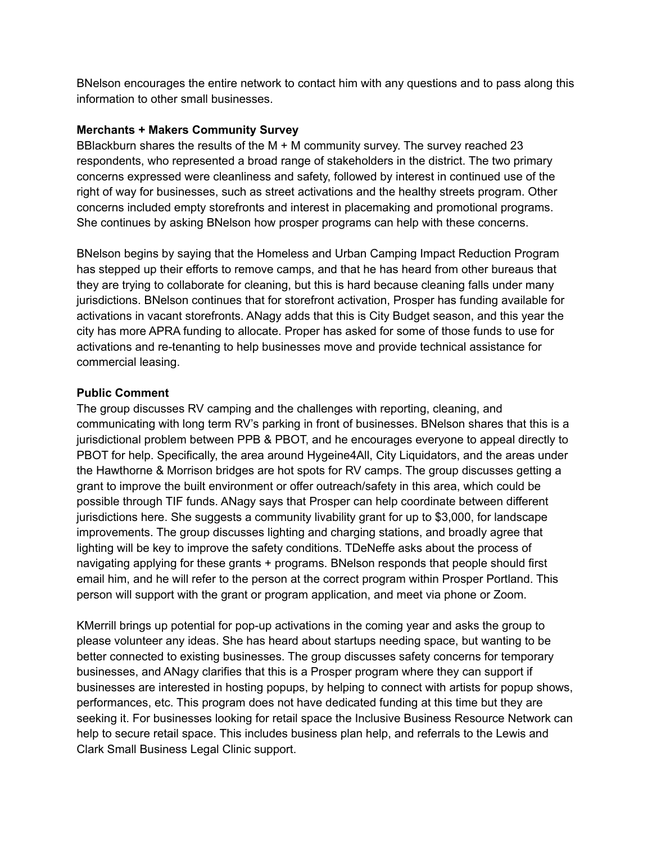BNelson encourages the entire network to contact him with any questions and to pass along this information to other small businesses.

## **Merchants + Makers Community Survey**

BBlackburn shares the results of the M + M community survey. The survey reached 23 respondents, who represented a broad range of stakeholders in the district. The two primary concerns expressed were cleanliness and safety, followed by interest in continued use of the right of way for businesses, such as street activations and the healthy streets program. Other concerns included empty storefronts and interest in placemaking and promotional programs. She continues by asking BNelson how prosper programs can help with these concerns.

BNelson begins by saying that the Homeless and Urban Camping Impact Reduction Program has stepped up their efforts to remove camps, and that he has heard from other bureaus that they are trying to collaborate for cleaning, but this is hard because cleaning falls under many jurisdictions. BNelson continues that for storefront activation, Prosper has funding available for activations in vacant storefronts. ANagy adds that this is City Budget season, and this year the city has more APRA funding to allocate. Proper has asked for some of those funds to use for activations and re-tenanting to help businesses move and provide technical assistance for commercial leasing.

#### **Public Comment**

The group discusses RV camping and the challenges with reporting, cleaning, and communicating with long term RV's parking in front of businesses. BNelson shares that this is a jurisdictional problem between PPB & PBOT, and he encourages everyone to appeal directly to PBOT for help. Specifically, the area around Hygeine4All, City Liquidators, and the areas under the Hawthorne & Morrison bridges are hot spots for RV camps. The group discusses getting a grant to improve the built environment or offer outreach/safety in this area, which could be possible through TIF funds. ANagy says that Prosper can help coordinate between different jurisdictions here. She suggests a community livability grant for up to \$3,000, for landscape improvements. The group discusses lighting and charging stations, and broadly agree that lighting will be key to improve the safety conditions. TDeNeffe asks about the process of navigating applying for these grants + programs. BNelson responds that people should first email him, and he will refer to the person at the correct program within Prosper Portland. This person will support with the grant or program application, and meet via phone or Zoom.

KMerrill brings up potential for pop-up activations in the coming year and asks the group to please volunteer any ideas. She has heard about startups needing space, but wanting to be better connected to existing businesses. The group discusses safety concerns for temporary businesses, and ANagy clarifies that this is a Prosper program where they can support if businesses are interested in hosting popups, by helping to connect with artists for popup shows, performances, etc. This program does not have dedicated funding at this time but they are seeking it. For businesses looking for retail space the Inclusive Business Resource Network can help to secure retail space. This includes business plan help, and referrals to the Lewis and Clark Small Business Legal Clinic support.